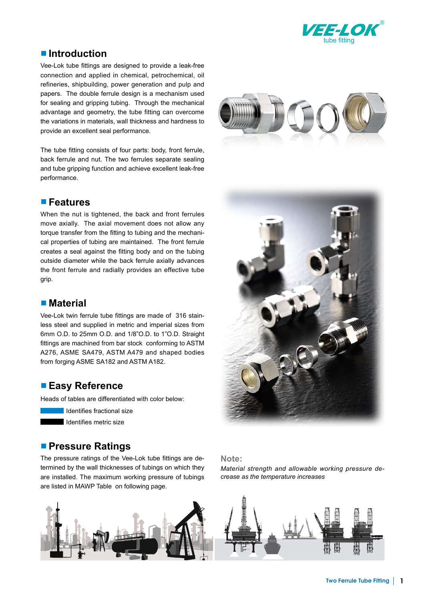

## ■ **Introduction**

Vee-Lok tube fittings are designed to provide a leak-free connection and applied in chemical, petrochemical, oil refineries, shipbuilding, power generation and pulp and papers. The double ferrule design is a mechanism used for sealing and gripping tubing. Through the mechanical advantage and geometry, the tube fitting can overcome the variations in materials, wall thickness and hardness to provide an excellent seal performance.

The tube fitting consists of four parts: body, front ferrule, back ferrule and nut. The two ferrules separate sealing and tube gripping function and achieve excellent leak-free performance.

#### ■ **Features**

When the nut is tightened, the back and front ferrules move axially. The axial movement does not allow any torque transfer from the fitting to tubing and the mechanical properties of tubing are maintained. The front ferrule creates a seal against the fitting body and on the tubing outside diameter while the back ferrule axially advances the front ferrule and radially provides an effective tube grip.

#### ■ **Material**

Vee-Lok twin ferrule tube fittings are made of 316 stainless steel and supplied in metric and imperial sizes from 6mm O.D. to 25mm O.D. and 1/8"O.D. to 1"O.D. Straight fittings are machined from bar stock conforming to ASTM A276, ASME SA479, ASTM A479 and shaped bodies from forging ASME SA182 and ASTM A182.

#### ■ **Easy Reference**

Heads of tables are differentiated with color below:



Identifies metric size

## ■ **Pressure Ratings**

The pressure ratings of the Vee-Lok tube fittings are determined by the wall thicknesses of tubings on which they are installed. The maximum working pressure of tubings are listed in MAWP Table on following page.







#### **Note:**

*Material strength and allowable working pressure decrease as the temperature increases*

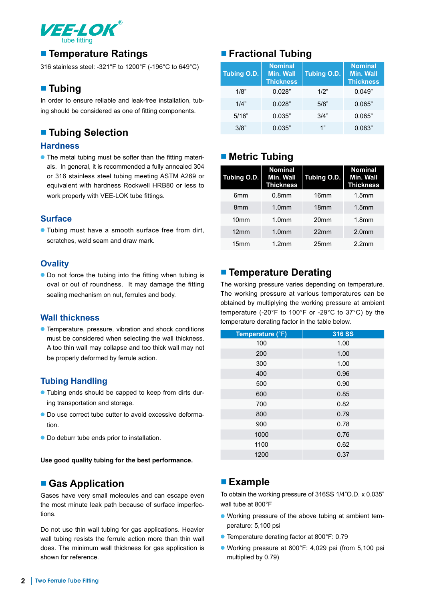

# ■ **Temperature Ratings**

316 stainless steel: -321°F to 1200°F (-196°C to 649°C)

## ■ **Tubing**

In order to ensure reliable and leak-free installation, tubing should be considered as one of fitting components.

# ■ **Tubing Selection**

#### **Hardness**

• The metal tubing must be softer than the fitting materials. In general, it is recommended a fully annealed 304 or 316 stainless steel tubing meeting ASTM A269 or equivalent with hardness Rockwell HRB80 or less to work properly with VEE-LOK tube fittings.

#### **Surface**

● Tubing must have a smooth surface free from dirt, scratches, weld seam and draw mark.

#### **Ovality**

● Do not force the tubing into the fitting when tubing is oval or out of roundness. It may damage the fitting sealing mechanism on nut, ferrules and body.

#### **Wall thickness**

● Temperature, pressure, vibration and shock conditions must be considered when selecting the wall thickness. A too thin wall may collapse and too thick wall may not be properly deformed by ferrule action.

## **Tubing Handling**

- Tubing ends should be capped to keep from dirts during transportation and storage.
- Do use correct tube cutter to avoid excessive deformation.
- Do deburr tube ends prior to installation.

**Use good quality tubing for the best performance.**

## ■ Gas Application

Gases have very small molecules and can escape even the most minute leak path because of surface imperfections.

Do not use thin wall tubing for gas applications. Heavier wall tubing resists the ferrule action more than thin wall does. The minimum wall thickness for gas application is shown for reference.

# ■ **Fractional Tubing**

| Tubing O.D. | <b>Nominal</b><br><b>Min. Wall</b><br><b>Thickness</b> | <b>Tubing O.D.</b> | <b>Nominal</b><br><b>Min. Wall</b><br><b>Thickness</b> |
|-------------|--------------------------------------------------------|--------------------|--------------------------------------------------------|
| 1/8"        | 0.028"                                                 | 1/2"               | 0.049"                                                 |
| 1/4"        | 0.028"                                                 | 5/8"               | 0.065"                                                 |
| 5/16"       | 0.035"                                                 | 3/4"               | 0.065"                                                 |
| 3/8"        | 0.035"                                                 | 1"                 | 0.083"                                                 |

# ■ **Metric Tubing**

| Tubing O.D.      | <b>Nominal</b><br>Min. Wall<br><b>Thickness</b> | Tubing O.D.      | <b>Nominal</b><br>Min. Wall<br><b>Thickness</b> |
|------------------|-------------------------------------------------|------------------|-------------------------------------------------|
| 6mm              | 0.8 <sub>mm</sub>                               | 16 <sub>mm</sub> | 1.5 <sub>mm</sub>                               |
| 8 <sub>mm</sub>  | 1.0 <sub>mm</sub>                               | 18 <sub>mm</sub> | 1.5 <sub>mm</sub>                               |
| 10 <sub>mm</sub> | 1.0 <sub>mm</sub>                               | 20 <sub>mm</sub> | 1.8 <sub>mm</sub>                               |
| 12mm             | 1.0 <sub>mm</sub>                               | 22mm             | 2.0 <sub>mm</sub>                               |
| 15 <sub>mm</sub> | 1.2mm                                           | 25 <sub>mm</sub> | 2.2mm                                           |

# ■ **Temperature Derating**

The working pressure varies depending on temperature. The working pressure at various temperatures can be obtained by multiplying the working pressure at ambient temperature (-20°F to 100°F or -29°C to 37°C) by the temperature derating factor in the table below.

| Temperature (°F) | <b>316 SS</b> |
|------------------|---------------|
| 100              | 1.00          |
| 200              | 1.00          |
| 300              | 1.00          |
| 400              | 0.96          |
| 500              | 0.90          |
| 600              | 0.85          |
| 700              | 0.82          |
| 800              | 0.79          |
| 900              | 0.78          |
| 1000             | 0.76          |
| 1100             | 0.62          |
| 1200             | 0.37          |

# ■ **Example**

To obtain the working pressure of 316SS 1/4"O.D. x 0.035" wall tube at 800°F

- Working pressure of the above tubing at ambient temperature: 5,100 psi
- Temperature derating factor at 800°F: 0.79
- Working pressure at 800°F: 4,029 psi (from 5,100 psi multiplied by 0.79)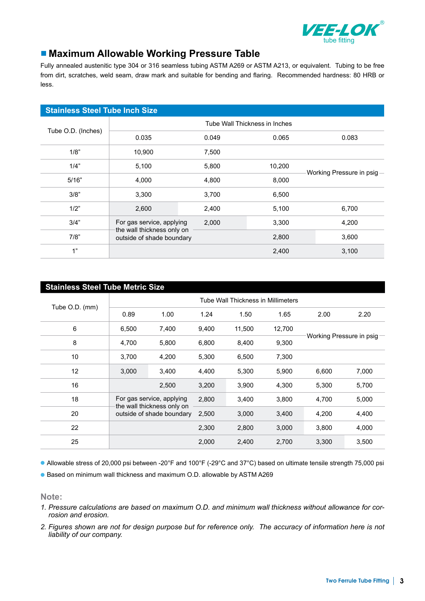

# ■ Maximum Allowable Working Pressure Table

Fully annealed austenitic type 304 or 316 seamless tubing ASTM A269 or ASTM A213, or equivalent. Tubing to be free from dirt, scratches, weld seam, draw mark and suitable for bending and flaring. Recommended hardness: 80 HRB or less.

| <b>Stainless Steel Tube Inch Size</b> |                                                         |       |                               |                           |  |  |
|---------------------------------------|---------------------------------------------------------|-------|-------------------------------|---------------------------|--|--|
|                                       |                                                         |       | Tube Wall Thickness in Inches |                           |  |  |
| Tube O.D. (Inches)                    | 0.035                                                   | 0.049 | 0.065                         | 0.083                     |  |  |
| 1/8"                                  | 10,900                                                  | 7,500 |                               |                           |  |  |
| 1/4"                                  | 5,100                                                   | 5,800 | 10,200                        | Working Pressure in psig- |  |  |
| 5/16"                                 | 4,000                                                   | 4,800 | 8,000                         |                           |  |  |
| 3/8"                                  | 3,300                                                   | 3,700 | 6,500                         |                           |  |  |
| 1/2"                                  | 2,600                                                   | 2,400 | 5,100                         | 6,700                     |  |  |
| 3/4"                                  | For gas service, applying                               | 2,000 | 3,300                         | 4,200                     |  |  |
| 7/8"                                  | the wall thickness only on<br>outside of shade boundary |       | 2,800                         | 3,600                     |  |  |
| 1"                                    |                                                         |       | 2,400                         | 3,100                     |  |  |

| <b>Stainless Steel Tube Metric Size</b> |                                                         |                           |       |        |        |                           |       |  |
|-----------------------------------------|---------------------------------------------------------|---------------------------|-------|--------|--------|---------------------------|-------|--|
|                                         | Tube Wall Thickness in Millimeters                      |                           |       |        |        |                           |       |  |
| Tube O.D. (mm)                          | 0.89                                                    | 1.00                      | 1.24  | 1.50   | 1.65   | 2.00                      | 2.20  |  |
| $\,6\,$                                 | 6,500                                                   | 7,400                     | 9,400 | 11,500 | 12,700 |                           |       |  |
| 8                                       | 4,700                                                   | 5,800                     | 6,800 | 8,400  | 9,300  | Working Pressure in psig- |       |  |
| 10                                      | 3,700                                                   | 4,200                     | 5,300 | 6,500  | 7,300  |                           |       |  |
| 12                                      | 3,000                                                   | 3,400                     | 4,400 | 5,300  | 5,900  | 6,600                     | 7,000 |  |
| 16                                      |                                                         | 2,500                     | 3,200 | 3,900  | 4,300  | 5,300                     | 5,700 |  |
| 18                                      |                                                         | For gas service, applying | 2,800 | 3,400  | 3,800  | 4,700                     | 5,000 |  |
| 20                                      | the wall thickness only on<br>outside of shade boundary |                           | 2,500 | 3,000  | 3,400  | 4,200                     | 4,400 |  |
| 22                                      |                                                         |                           | 2,300 | 2,800  | 3,000  | 3,800                     | 4,000 |  |
| 25                                      |                                                         |                           | 2,000 | 2,400  | 2,700  | 3,300                     | 3,500 |  |

● Allowable stress of 20,000 psi between -20°F and 100°F (-29°C and 37°C) based on ultimate tensile strength 75,000 psi

● Based on minimum wall thickness and maximum O.D. allowable by ASTM A269

**Note:**

- *1. Pressure calculations are based on maximum O.D. and minimum wall thickness without allowance for corrosion and erosion.*
- *2. Figures shown are not for design purpose but for reference only. The accuracy of information here is not liability of our company.*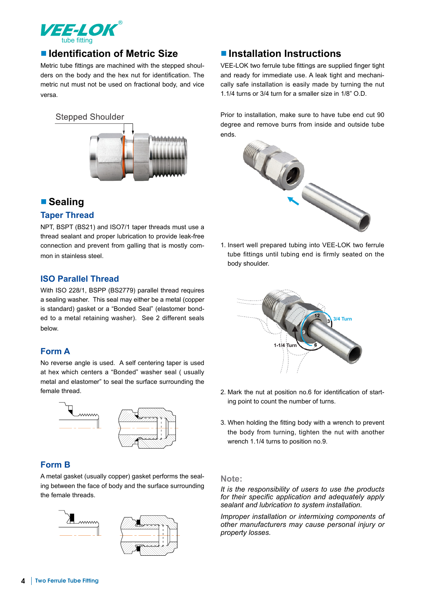

# ■ **Identification of Metric Size**

Metric tube fittings are machined with the stepped shoulders on the body and the hex nut for identification. The metric nut must not be used on fractional body, and vice versa.



## ■ **Sealing**

#### **Taper Thread**

NPT, BSPT (BS21) and ISO7/1 taper threads must use a thread sealant and proper lubrication to provide leak-free connection and prevent from galling that is mostly common in stainless steel.

#### **ISO Parallel Thread**

With ISO 228/1, BSPP (BS2779) parallel thread requires a sealing washer. This seal may either be a metal (copper is standard) gasket or a "Bonded Seal" (elastomer bonded to a metal retaining washer). See 2 different seals below.

#### **Form A**

No reverse angle is used. A self centering taper is used at hex which centers a "Bonded" washer seal ( usually metal and elastomer" to seal the surface surrounding the female thread.



## **Form B**

A metal gasket (usually copper) gasket performs the sealing between the face of body and the surface surrounding the female threads.



# ■ **Installation Instructions**

VEE-LOK two ferrule tube fittings are supplied finger tight and ready for immediate use. A leak tight and mechanically safe installation is easily made by turning the nut 1.1/4 turns or 3/4 turn for a smaller size in 1/8" O.D.

Prior to installation, make sure to have tube end cut 90 degree and remove burrs from inside and outside tube ends.



1. Insert well prepared tubing into VEE-LOK two ferrule tube fittings until tubing end is firmly seated on the body shoulder.



- 2. Mark the nut at position no.6 for identification of starting point to count the number of turns.
- 3. When holding the fitting body with a wrench to prevent the body from turning, tighten the nut with another wrench 1.1/4 turns to position no.9.

#### **Note:**

*It is the responsibility of users to use the products for their specific application and adequately apply sealant and lubrication to system installation.*

*Improper installation or intermixing components of other manufacturers may cause personal injury or property losses.*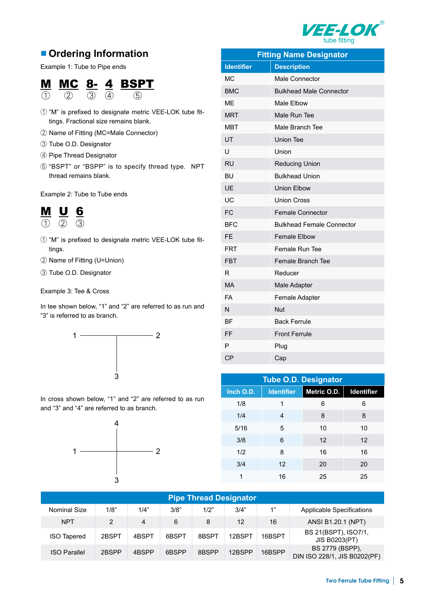

# ■ **Ordering Information**

Example 1: Tube to Pipe ends

## M MC 8- 4 BSPT  $\overline{(1)}$   $\overline{(2)}$   $\overline{(3)}$   $\overline{(4)}$   $\overline{(5)}$

- ① "M" is prefixed to designate metric VEE-LOK tube fittings. Fractional size remains blank.
- ② Name of Fitting (MC=Male Connector)
- ③ Tube O.D. Designator
- ④ Pipe Thread Designator
- ⑤ "BSPT" or "BSPP" is to specify thread type. NPT thread remains blank.

Example 2: Tube to Tube ends



- ① "M" is prefixed to designate metric VEE-LOK tube fittings.
- ② Name of Fitting (U=Union)
- ③ Tube O.D. Designator

Example 3: Tee & Cross

In tee shown below, "1" and "2" are referred to as run and "3" is referred to as branch.



In cross shown below, "1" and "2" are referred to as run and "3" and "4" are referred to as branch.



| <b>Fitting Name Designator</b> |                                  |  |  |  |  |
|--------------------------------|----------------------------------|--|--|--|--|
| <b>Identifier</b>              | <b>Description</b>               |  |  |  |  |
| <b>MC</b>                      | <b>Male Connector</b>            |  |  |  |  |
| <b>BMC</b>                     | <b>Bulkhead Male Connector</b>   |  |  |  |  |
| <b>ME</b>                      | Male Elbow                       |  |  |  |  |
| <b>MRT</b>                     | Male Run Tee                     |  |  |  |  |
| <b>MBT</b>                     | Male Branch Tee                  |  |  |  |  |
| UT                             | <b>Union Tee</b>                 |  |  |  |  |
| U                              | Union                            |  |  |  |  |
| <b>RU</b>                      | <b>Reducing Union</b>            |  |  |  |  |
| <b>BU</b>                      | <b>Bulkhead Union</b>            |  |  |  |  |
| UE                             | <b>Union Elbow</b>               |  |  |  |  |
| UC                             | <b>Union Cross</b>               |  |  |  |  |
| FC                             | <b>Female Connector</b>          |  |  |  |  |
| <b>BFC</b>                     | <b>Bulkhead Female Connector</b> |  |  |  |  |
| FE                             | <b>Female Elbow</b>              |  |  |  |  |
| <b>FRT</b>                     | Female Run Tee                   |  |  |  |  |
| <b>FBT</b>                     | Female Branch Tee                |  |  |  |  |
| R                              | Reducer                          |  |  |  |  |
| <b>MA</b>                      | Male Adapter                     |  |  |  |  |
| <b>FA</b>                      | Female Adapter                   |  |  |  |  |
| N                              | <b>Nut</b>                       |  |  |  |  |
| <b>BF</b>                      | <b>Back Ferrule</b>              |  |  |  |  |
| FF                             | <b>Front Ferrule</b>             |  |  |  |  |
| P                              | Plug                             |  |  |  |  |
| <b>CP</b>                      | Cap                              |  |  |  |  |

| <b>Tube O.D. Designator</b> |                   |             |                   |  |  |  |
|-----------------------------|-------------------|-------------|-------------------|--|--|--|
| Inch O.D.                   | <b>Identifier</b> | Metric O.D. | <b>Identifier</b> |  |  |  |
| 1/8                         | 1                 | 6           | 6                 |  |  |  |
| 1/4                         | 4                 | 8           | 8                 |  |  |  |
| 5/16                        | 5                 | 10          | 10                |  |  |  |
| 3/8                         | 6                 | 12          | 12                |  |  |  |
| 1/2                         | 8                 | 16          | 16                |  |  |  |
| 3/4                         | 12                | 20          | 20                |  |  |  |
| 1                           | 16                | 25          | 25                |  |  |  |

| <b>Pipe Thread Designator</b> |       |       |       |       |        |        |                                                 |
|-------------------------------|-------|-------|-------|-------|--------|--------|-------------------------------------------------|
| Nominal Size                  | 1/8"  | 1/4"  | 3/8"  | 1/2"  | 3/4"   | 1"     | <b>Applicable Specifications</b>                |
| <b>NPT</b>                    | 2     | 4     | 6     | 8     | 12     | 16     | ANSI B1.20.1 (NPT)                              |
| <b>ISO Tapered</b>            | 2BSPT | 4BSPT | 6BSPT | 8BSPT | 12BSPT | 16BSPT | BS 21(BSPT), ISO7/1,<br><b>JIS B0203(PT)</b>    |
| <b>ISO Parallel</b>           | 2BSPP | 4BSPP | 6BSPP | 8BSPP | 12BSPP | 16BSPP | BS 2779 (BSPP),<br>DIN ISO 228/1, JIS B0202(PF) |